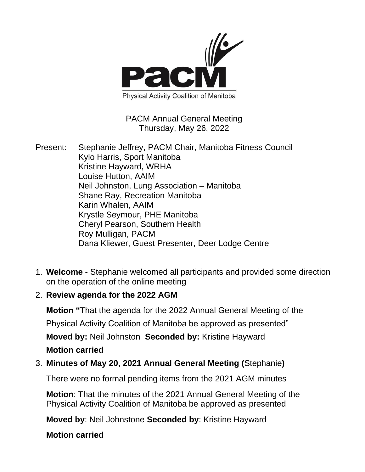

### PACM Annual General Meeting Thursday, May 26, 2022

- Present: Stephanie Jeffrey, PACM Chair, Manitoba Fitness Council Kylo Harris, Sport Manitoba Kristine Hayward, WRHA Louise Hutton, AAIM Neil Johnston, Lung Association – Manitoba Shane Ray, Recreation Manitoba Karin Whalen, AAIM Krystle Seymour, PHE Manitoba Cheryl Pearson, Southern Health Roy Mulligan, PACM Dana Kliewer, Guest Presenter, Deer Lodge Centre
- 1. **Welcome**  Stephanie welcomed all participants and provided some direction on the operation of the online meeting
- 2. **Review agenda for the 2022 AGM**

**Motion "**That the agenda for the 2022 Annual General Meeting of the Physical Activity Coalition of Manitoba be approved as presented"

**Moved by:** Neil Johnston **Seconded by:** Kristine Hayward **Motion carried**

3. **Minutes of May 20, 2021 Annual General Meeting (**Stephanie**)**

There were no formal pending items from the 2021 AGM minutes

**Motion**: That the minutes of the 2021 Annual General Meeting of the Physical Activity Coalition of Manitoba be approved as presented

**Moved by**: Neil Johnstone **Seconded by**: Kristine Hayward

**Motion carried**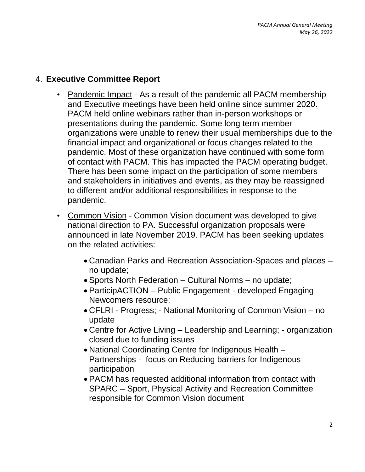## 4. **Executive Committee Report**

- Pandemic Impact As a result of the pandemic all PACM membership and Executive meetings have been held online since summer 2020. PACM held online webinars rather than in-person workshops or presentations during the pandemic. Some long term member organizations were unable to renew their usual memberships due to the financial impact and organizational or focus changes related to the pandemic. Most of these organization have continued with some form of contact with PACM. This has impacted the PACM operating budget. There has been some impact on the participation of some members and stakeholders in initiatives and events, as they may be reassigned to different and/or additional responsibilities in response to the pandemic.
- Common Vision Common Vision document was developed to give national direction to PA. Successful organization proposals were announced in late November 2019. PACM has been seeking updates on the related activities:
	- Canadian Parks and Recreation Association-Spaces and places no update;
	- Sports North Federation Cultural Norms no update;
	- ParticipACTION Public Engagement developed Engaging Newcomers resource;
	- CFLRI Progress; National Monitoring of Common Vision no update
	- Centre for Active Living Leadership and Learning; organization closed due to funding issues
	- National Coordinating Centre for Indigenous Health Partnerships - focus on Reducing barriers for Indigenous participation
	- PACM has requested additional information from contact with SPARC – Sport, Physical Activity and Recreation Committee responsible for Common Vision document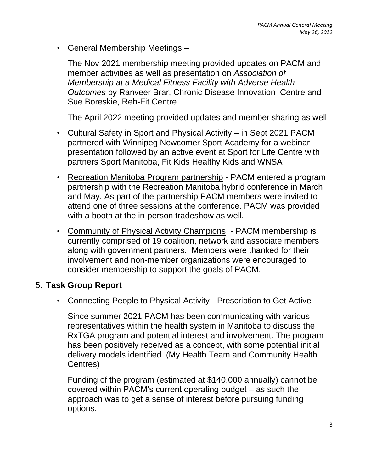• General Membership Meetings –

The Nov 2021 membership meeting provided updates on PACM and member activities as well as presentation on *Association of Membership at a Medical Fitness Facility with Adverse Health Outcomes* by Ranveer Brar, Chronic Disease Innovation Centre and Sue Boreskie, Reh-Fit Centre.

The April 2022 meeting provided updates and member sharing as well.

- Cultural Safety in Sport and Physical Activity in Sept 2021 PACM partnered with Winnipeg Newcomer Sport Academy for a webinar presentation followed by an active event at Sport for Life Centre with partners Sport Manitoba, Fit Kids Healthy Kids and WNSA
- Recreation Manitoba Program partnership PACM entered a program partnership with the Recreation Manitoba hybrid conference in March and May. As part of the partnership PACM members were invited to attend one of three sessions at the conference. PACM was provided with a booth at the in-person tradeshow as well.
- Community of Physical Activity Champions PACM membership is currently comprised of 19 coalition, network and associate members along with government partners. Members were thanked for their involvement and non-member organizations were encouraged to consider membership to support the goals of PACM.

#### 5. **Task Group Report**

• Connecting People to Physical Activity - Prescription to Get Active

Since summer 2021 PACM has been communicating with various representatives within the health system in Manitoba to discuss the RxTGA program and potential interest and involvement. The program has been positively received as a concept, with some potential initial delivery models identified. (My Health Team and Community Health Centres)

Funding of the program (estimated at \$140,000 annually) cannot be covered within PACM's current operating budget – as such the approach was to get a sense of interest before pursuing funding options.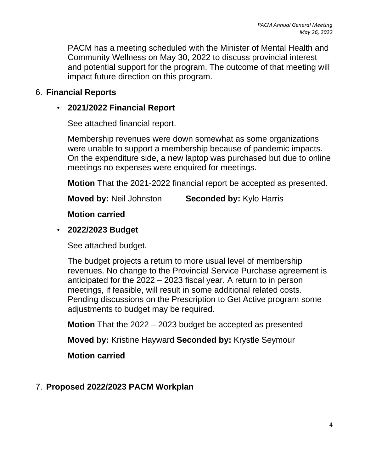PACM has a meeting scheduled with the Minister of Mental Health and Community Wellness on May 30, 2022 to discuss provincial interest and potential support for the program. The outcome of that meeting will impact future direction on this program.

### 6. **Financial Reports**

### • **2021/2022 Financial Report**

See attached financial report.

Membership revenues were down somewhat as some organizations were unable to support a membership because of pandemic impacts. On the expenditure side, a new laptop was purchased but due to online meetings no expenses were enquired for meetings.

**Motion** That the 2021-2022 financial report be accepted as presented.

**Moved by:** Neil Johnston **Seconded by:** Kylo Harris

**Motion carried**

### • **2022/2023 Budget**

See attached budget.

The budget projects a return to more usual level of membership revenues. No change to the Provincial Service Purchase agreement is anticipated for the 2022 – 2023 fiscal year. A return to in person meetings, if feasible, will result in some additional related costs. Pending discussions on the Prescription to Get Active program some adjustments to budget may be required.

**Motion** That the 2022 – 2023 budget be accepted as presented

**Moved by:** Kristine Hayward **Seconded by:** Krystle Seymour

**Motion carried**

### 7. **Proposed 2022/2023 PACM Workplan**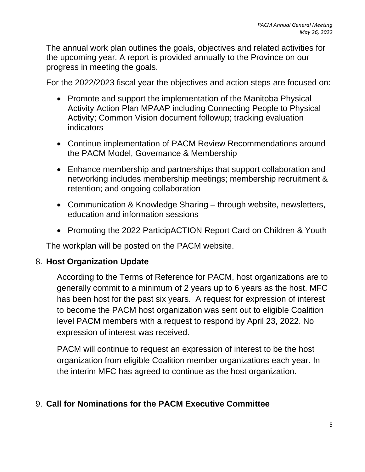The annual work plan outlines the goals, objectives and related activities for the upcoming year. A report is provided annually to the Province on our progress in meeting the goals.

For the 2022/2023 fiscal year the objectives and action steps are focused on:

- Promote and support the implementation of the Manitoba Physical Activity Action Plan MPAAP including Connecting People to Physical Activity; Common Vision document followup; tracking evaluation indicators
- Continue implementation of PACM Review Recommendations around the PACM Model, Governance & Membership
- Enhance membership and partnerships that support collaboration and networking includes membership meetings; membership recruitment & retention; and ongoing collaboration
- Communication & Knowledge Sharing through website, newsletters, education and information sessions
- Promoting the 2022 ParticipACTION Report Card on Children & Youth

The workplan will be posted on the PACM website.

### 8. **Host Organization Update**

According to the Terms of Reference for PACM, host organizations are to generally commit to a minimum of 2 years up to 6 years as the host. MFC has been host for the past six years. A request for expression of interest to become the PACM host organization was sent out to eligible Coalition level PACM members with a request to respond by April 23, 2022. No expression of interest was received.

PACM will continue to request an expression of interest to be the host organization from eligible Coalition member organizations each year. In the interim MFC has agreed to continue as the host organization.

# 9. **Call for Nominations for the PACM Executive Committee**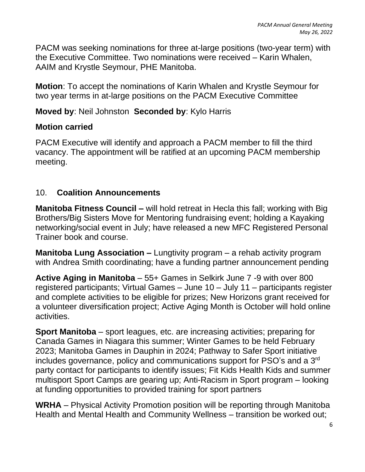PACM was seeking nominations for three at-large positions (two-year term) with the Executive Committee. Two nominations were received – Karin Whalen, AAIM and Krystle Seymour, PHE Manitoba.

**Motion**: To accept the nominations of Karin Whalen and Krystle Seymour for two year terms in at-large positions on the PACM Executive Committee

## **Moved by**: Neil Johnston **Seconded by**: Kylo Harris

### **Motion carried**

PACM Executive will identify and approach a PACM member to fill the third vacancy. The appointment will be ratified at an upcoming PACM membership meeting.

# 10. **Coalition Announcements**

**Manitoba Fitness Council –** will hold retreat in Hecla this fall; working with Big Brothers/Big Sisters Move for Mentoring fundraising event; holding a Kayaking networking/social event in July; have released a new MFC Registered Personal Trainer book and course.

**Manitoba Lung Association –** Lungtivity program – a rehab activity program with Andrea Smith coordinating; have a funding partner announcement pending

**Active Aging in Manitoba** – 55+ Games in Selkirk June 7 -9 with over 800 registered participants; Virtual Games – June 10 – July 11 – participants register and complete activities to be eligible for prizes; New Horizons grant received for a volunteer diversification project; Active Aging Month is October will hold online activities.

**Sport Manitoba** – sport leagues, etc. are increasing activities; preparing for Canada Games in Niagara this summer; Winter Games to be held February 2023; Manitoba Games in Dauphin in 2024; Pathway to Safer Sport initiative includes governance, policy and communications support for PSO's and a 3rd party contact for participants to identify issues; Fit Kids Health Kids and summer multisport Sport Camps are gearing up; Anti-Racism in Sport program – looking at funding opportunities to provided training for sport partners

**WRHA** – Physical Activity Promotion position will be reporting through Manitoba Health and Mental Health and Community Wellness – transition be worked out;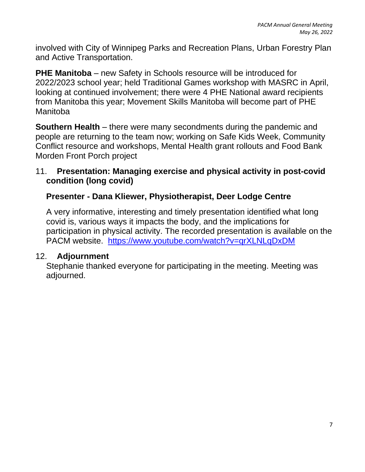involved with City of Winnipeg Parks and Recreation Plans, Urban Forestry Plan and Active Transportation.

**PHE Manitoba** – new Safety in Schools resource will be introduced for 2022/2023 school year; held Traditional Games workshop with MASRC in April, looking at continued involvement; there were 4 PHE National award recipients from Manitoba this year; Movement Skills Manitoba will become part of PHE Manitoba

**Southern Health** – there were many secondments during the pandemic and people are returning to the team now; working on Safe Kids Week, Community Conflict resource and workshops, Mental Health grant rollouts and Food Bank Morden Front Porch project

### 11. **Presentation: Managing exercise and physical activity in post-covid condition (long covid)**

# **Presenter - Dana Kliewer, Physiotherapist, Deer Lodge Centre**

A very informative, interesting and timely presentation identified what long covid is, various ways it impacts the body, and the implications for participation in physical activity. The recorded presentation is available on the PACM website. <https://www.youtube.com/watch?v=qrXLNLqDxDM>

### 12. **Adjournment**

Stephanie thanked everyone for participating in the meeting. Meeting was adjourned.